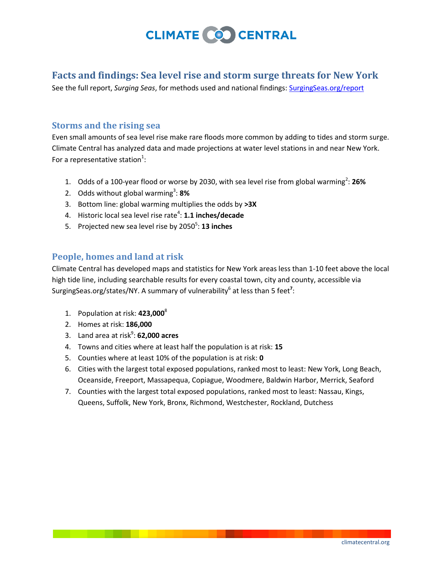

## **Facts and findings: Sea level rise and storm surge threats for New York**

See the full report, *Surging Seas*, for methods used and national findings[: SurgingSeas.org/report](http://surgingseas.org/report)

### **Storms and the rising sea**

Even small amounts of sea level rise make rare floods more common by adding to tides and storm surge. Climate Central has analyzed data and made projections at water level stations in and near New York. For a representative station<sup>1</sup>:

- 1. Odds of a 100-year flood or worse by 2030, with sea level rise from global warming<sup>2</sup>: 26%
- 2. Odds without global warming<sup>3</sup>: 8%
- 3. Bottom line: global warming multiplies the odds by **>3X**
- 4. Historic local sea level rise rate<sup>4</sup>: **1.1 inches/decade**
- 5. Projected new sea level rise by 2050<sup>5</sup>: **13 inches**

### **People, homes and land at risk**

Climate Central has developed maps and statistics for New York areas less than 1-10 feet above the local high tide line, including searchable results for every coastal town, city and county, accessible via SurgingSeas.org/states/NY. A summary of vulnerability<sup>6</sup> at less than 5 feet<sup>7</sup>:

- 1. Population at risk: **423,000**<sup>8</sup>
- 2. Homes at risk: **186,000**
- 3. Land area at risk<sup>9</sup>: **62,000 acres**
- 4. Towns and cities where at least half the population is at risk: **15**
- 5. Counties where at least 10% of the population is at risk: **0**
- 6. Cities with the largest total exposed populations, ranked most to least: New York, Long Beach, Oceanside, Freeport, Massapequa, Copiague, Woodmere, Baldwin Harbor, Merrick, Seaford
- 7. Counties with the largest total exposed populations, ranked most to least: Nassau, Kings, Queens, Suffolk, New York, Bronx, Richmond, Westchester, Rockland, Dutchess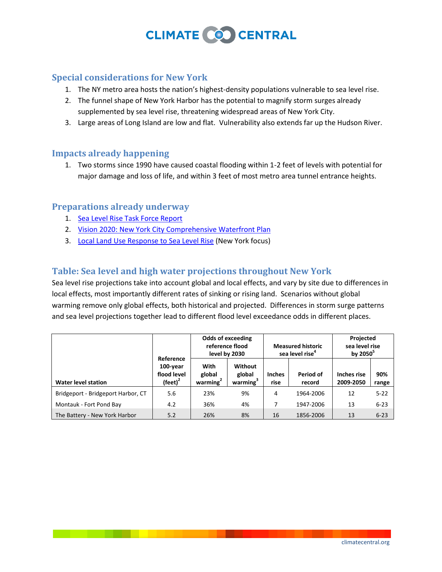## **CLIMATE COO CENTRAL**

### **Special considerations for New York**

- 1. The NY metro area hosts the nation's highest-density populations vulnerable to sea level rise.
- 2. The funnel shape of New York Harbor has the potential to magnify storm surges already supplemented by sea level rise, threatening widespread areas of New York City.
- 3. Large areas of Long Island are low and flat. Vulnerability also extends far up the Hudson River.

### **Impacts already happening**

1. Two storms since 1990 have caused coastal flooding within 1-2 feet of levels with potential for major damage and loss of life, and within 3 feet of most metro area tunnel entrance heights.

### **Preparations already underway**

- 1. [Sea Level Rise Task Force Report](http://www.dec.ny.gov/energy/67778.html)
- 2. [Vision 2020: New York City Comprehensive Waterfront Plan](http://www.nyc.gov/html/dcp/pdf/cwp/vision2020/chapter3_goal8.pdf)
- 3. [Local Land Use Response to Sea Level Rise](http://www.csc.noaa.gov/digitalcoast/inundation/_pdf/Pace_Final_Report.pdf) (New York focus)

### **Table: Sea level and high water projections throughout New York**

Sea level rise projections take into account global and local effects, and vary by site due to differences in local effects, most importantly different rates of sinking or rising land. Scenarios without global warming remove only global effects, both historical and projected. Differences in storm surge patterns and sea level projections together lead to different flood level exceedance odds in different places.

|                                    | Reference<br>$100$ -year<br>flood level<br>(feet) $2$ | <b>Odds of exceeding</b><br>reference flood<br>level by 2030 |                                           | <b>Measured historic</b><br>sea level rise <sup>4</sup> |                     | Projected<br>sea level rise<br>by $2050^5$ |              |
|------------------------------------|-------------------------------------------------------|--------------------------------------------------------------|-------------------------------------------|---------------------------------------------------------|---------------------|--------------------------------------------|--------------|
| <b>Water level station</b>         |                                                       | With<br>global<br>warming <sup>2</sup>                       | Without<br>global<br>warming <sup>3</sup> | <b>Inches</b><br>rise                                   | Period of<br>record | Inches rise<br>2009-2050                   | 90%<br>range |
| Bridgeport - Bridgeport Harbor, CT | 5.6                                                   | 23%                                                          | 9%                                        | 4                                                       | 1964-2006           | 12                                         | $5 - 22$     |
| Montauk - Fort Pond Bay            | 4.2                                                   | 36%                                                          | 4%                                        |                                                         | 1947-2006           | 13                                         | $6 - 23$     |
| The Battery - New York Harbor      | 5.2                                                   | 26%                                                          | 8%                                        | 16                                                      | 1856-2006           | 13                                         | $6 - 23$     |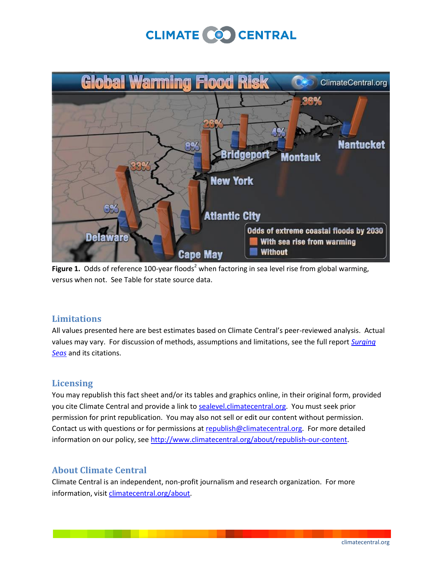# **CLIMATE COO CENTRAL**



**Figure 1.** Odds of reference 100-year floods<sup>2</sup> when factoring in sea level rise from global warming, versus when not. See Table for state source data.

### **Limitations**

All values presented here are best estimates based on Climate Central's peer-reviewed analysis. Actual values may vary. For discussion of methods, assumptions and limitations, see the full report *[Surging](http://surgingseas.org/report)  [Seas](http://surgingseas.org/report)* and its citations.

### **Licensing**

You may republish this fact sheet and/or its tables and graphics online, in their original form, provided you cite Climate Central and provide a link to [sealevel.climatecentral.org.](file:///Y:/SLR/report/fact%20sheets/sealevel.climatecentral.org) You must seek prior permission for print republication. You may also not sell or edit our content without permission. Contact us with questions or for permissions at [republish@climatecentral.org.](mailto:republish@climatecentral.org) For more detailed information on our policy, see [http://www.climatecentral.org/about/republish-our-content.](http://www.climatecentral.org/about/republish-our-content)

### **About Climate Central**

Climate Central is an independent, non-profit journalism and research organization. For more information, visit [climatecentral.org/about.](climatecentral.org/about)